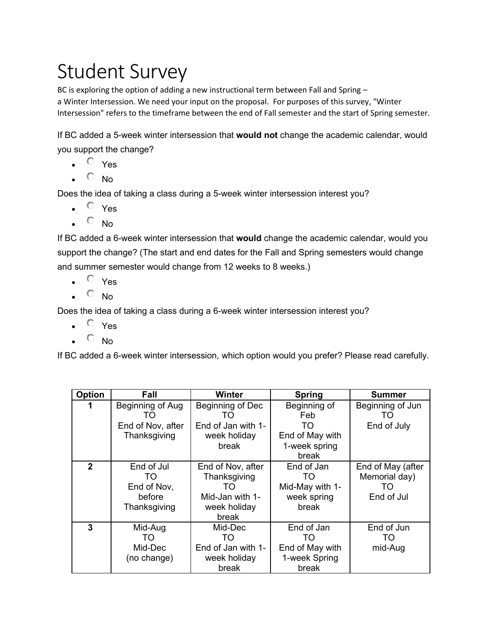# Student Survey

BC is exploring the option of adding a new instructional term between Fall and Spring – a Winter Intersession. We need your input on the proposal. For purposes of this survey, "Winter Intersession" refers to the timeframe between the end of Fall semester and the start of Spring semester.

If BC added a 5-week winter intersession that **would not** change the academic calendar, would you support the change?

- $\bullet$   $\circ$  Yes
- $\overline{O}$  No.

Does the idea of taking a class during a 5-week winter intersession interest you?

- $\bullet$   $\circ$   $\gamma$ es
- $\bullet$   $\circ$  No

If BC added a 6-week winter intersession that **would** change the academic calendar, would you support the change? (The start and end dates for the Fall and Spring semesters would change and summer semester would change from 12 weeks to 8 weeks.)

- $\bullet$   $\circ$  Yes
- $\overline{O}$  No.

Does the idea of taking a class during a 6-week winter intersession interest you?

- $\bullet$   $\circ$   $\circ$   $\circ$
- $\overline{O}$  No

If BC added a 6-week winter intersession, which option would you prefer? Please read carefully.

| Option       | Fall              | Winter             | <b>Spring</b>   | <b>Summer</b>     |
|--------------|-------------------|--------------------|-----------------|-------------------|
|              | Beginning of Aug  | Beginning of Dec   | Beginning of    | Beginning of Jun  |
|              | 1 ( )             | TO                 | Feb             | TO                |
|              | End of Nov, after | End of Jan with 1- | TO              | End of July       |
|              | Thanksgiving      | week holiday       | End of May with |                   |
|              |                   | break              | 1-week spring   |                   |
|              |                   |                    | break           |                   |
| $\mathbf{2}$ | End of Jul        | End of Nov, after  | End of Jan      | End of May (after |
|              | TO                | Thanksgiving       | TO              | Memorial day)     |
|              | End of Nov,       | TO                 | Mid-May with 1- | TO                |
|              | before            | Mid-Jan with 1-    | week spring     | End of Jul        |
|              | Thanksgiving      | week holiday       | break           |                   |
|              |                   | break              |                 |                   |
| 3            | Mid-Aug           | Mid-Dec            | End of Jan      | End of Jun        |
|              | TO                | TO                 | TO              | TO                |
|              | Mid-Dec           | End of Jan with 1- | End of May with | mid-Aug           |
|              | (no change)       | week holiday       | 1-week Spring   |                   |
|              |                   | break              | break           |                   |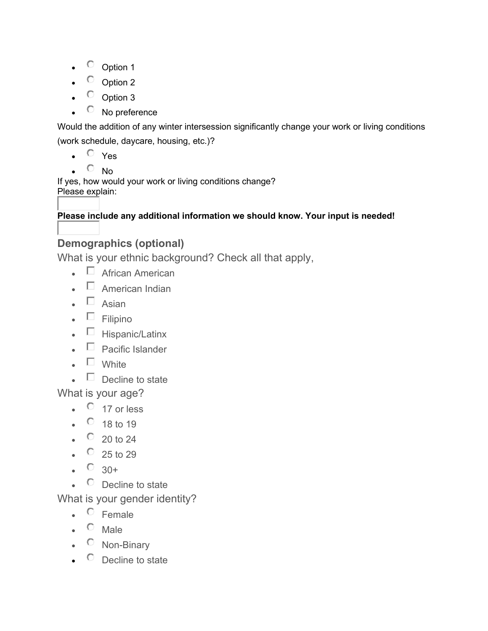- <sup>O</sup> Option 1
- Option 2
- $\circ$  Option 3
- $\circ$  No preference

Would the addition of any winter intersession significantly change your work or living conditions (work schedule, daycare, housing, etc.)?

- $\circ$  Yes
- No

If yes, how would your work or living conditions change? Please explain:

### **Please include any additional information we should know. Your input is needed!**

### **Demographics (optional)**

What is your ethnic background? Check all that apply,

- $\Box$  African American
- $\Box$  American Indian
- $\square$  Asian
- $\blacksquare$  Filipino
- $\Box$  Hispanic/Latinx
- $\Box$  Pacific Islander
- $\square$  White
- $\Box$  Decline to state

What is your age?

- $\bullet$  17 or less
- $\degree$  18 to 19
- $\degree$  20 to 24
- $\degree$  25 to 29
- $\degree$  30+
- $\circ$  Decline to state

What is your gender identity?

- $\circ$  Female
- $\bullet$  Male
- $\circ$  Non-Binary
- $\circ$  Decline to state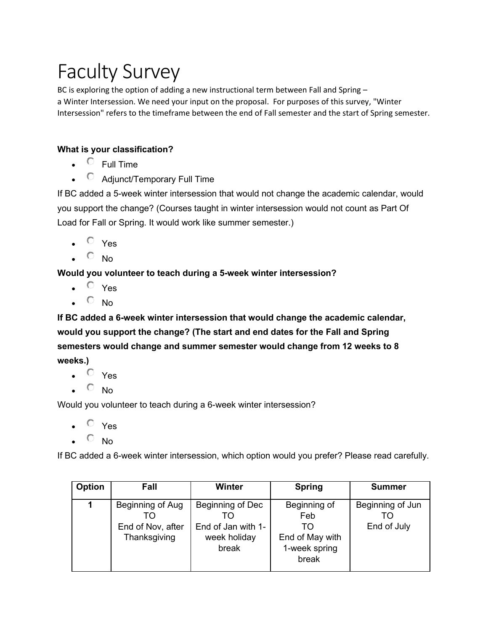# Faculty Survey

BC is exploring the option of adding a new instructional term between Fall and Spring a Winter Intersession. We need your input on the proposal. For purposes of this survey, "Winter Intersession" refers to the timeframe between the end of Fall semester and the start of Spring semester.

#### **What is your classification?**

- $\bullet$  Full Time
- Adjunct/Temporary Full Time

If BC added a 5-week winter intersession that would not change the academic calendar, would you support the change? (Courses taught in winter intersession would not count as Part Of Load for Fall or Spring. It would work like summer semester.)

- $\bullet$   $\circ$   $\prime$ es
- $\bullet$   $\circ$  No

#### **Would you volunteer to teach during a 5-week winter intersession?**

- $\cdot$   $\circ$   $\cdot$  Yes
- $\bullet$   $\circ$  No

**If BC added a 6-week winter intersession that would change the academic calendar, would you support the change? (The start and end dates for the Fall and Spring semesters would change and summer semester would change from 12 weeks to 8 weeks.)**

- $O$  Yes
- $\overline{\circ}$  No

Would you volunteer to teach during a 6-week winter intersession?

- $\overline{O}$  Yes
- $\overline{C}$  No

If BC added a 6-week winter intersession, which option would you prefer? Please read carefully.

| Option | Fall              | Winter             | <b>Spring</b>   | <b>Summer</b>    |
|--------|-------------------|--------------------|-----------------|------------------|
|        | Beginning of Aug  | Beginning of Dec   | Beginning of    | Beginning of Jun |
|        | TΟ                |                    | Feb             | TΩ               |
|        | End of Nov, after | End of Jan with 1- | TΟ              | End of July      |
|        | Thanksgiving      | week holiday       | End of May with |                  |
|        |                   | break              | 1-week spring   |                  |
|        |                   |                    | break           |                  |
|        |                   |                    |                 |                  |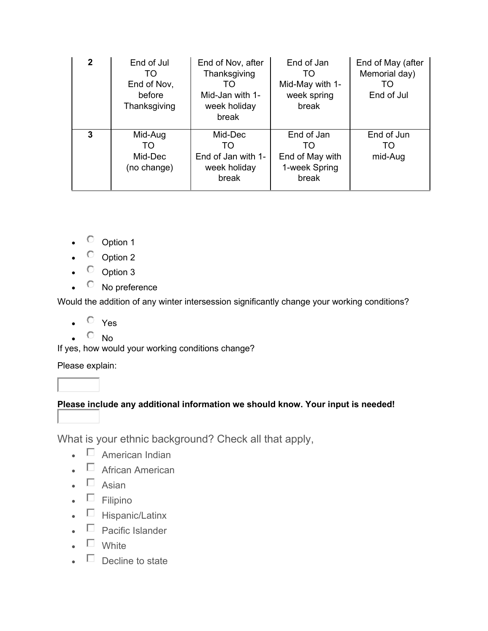| $\mathbf{2}$ | End of Jul<br>TO.<br>End of Nov,<br>before<br>Thanksgiving | End of Nov, after<br>Thanksgiving<br>TO<br>Mid-Jan with 1-<br>week holiday<br>break | End of Jan<br>TO<br>Mid-May with 1-<br>week spring<br>break    | End of May (after<br>Memorial day)<br>TO<br>End of Jul |
|--------------|------------------------------------------------------------|-------------------------------------------------------------------------------------|----------------------------------------------------------------|--------------------------------------------------------|
| 3            | Mid-Aug<br>TO<br>Mid-Dec<br>(no change)                    | Mid-Dec<br>TO<br>End of Jan with 1-<br>week holiday<br>break                        | End of Jan<br>TO.<br>End of May with<br>1-week Spring<br>break | End of Jun<br>TO<br>mid-Aug                            |

- Option 1
- $\circ$  Option 2
- $\circ$  Option 3
- C No preference

Would the addition of any winter intersession significantly change your working conditions?

- $\bullet$   $\circ$   $\circ$   $\circ$
- $O$  No

If yes, how would your working conditions change?

Please explain:

#### **Please include any additional information we should know. Your input is needed!**

What is your ethnic background? Check all that apply,

- $\bullet$   $\Box$  American Indian
- $\Box$  African American
- $\bullet$   $\Box$  Asian
- $\blacksquare$  Filipino
- $\Box$  Hispanic/Latinx
- $\Box$  Pacific Islander
- $\square$  White
- $\Box$  Decline to state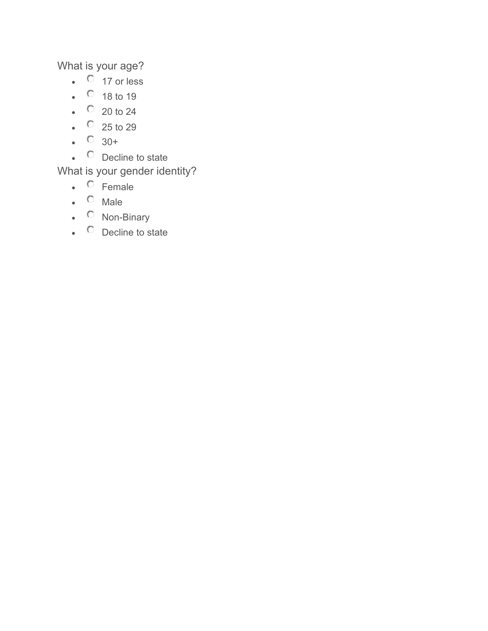What is your age?

- $\bullet$  17 or less
- $\circ$  18 to 19
- $\degree$  20 to 24
- $\bullet$   $\circ$  25 to 29
- $\bullet$   $\circ$  30+
- C Decline to state

### What is your gender identity?

- C Female
- $\bullet$   $\circ$  Male
- C Non-Binary
- C Decline to state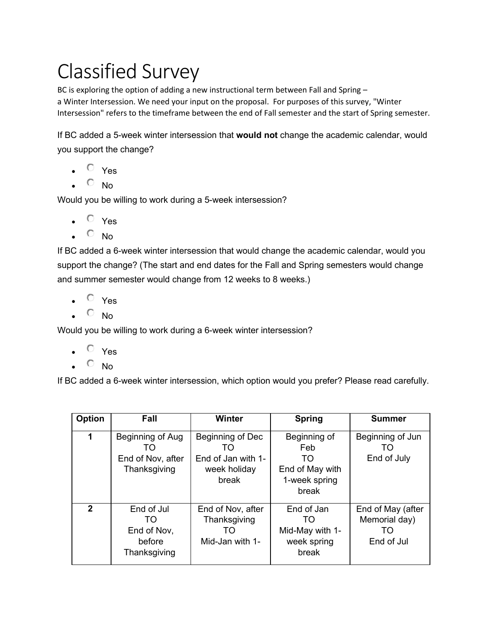# Classified Survey

BC is exploring the option of adding a new instructional term between Fall and Spring – a Winter Intersession. We need your input on the proposal. For purposes of this survey, "Winter Intersession" refers to the timeframe between the end of Fall semester and the start of Spring semester.

If BC added a 5-week winter intersession that **would not** change the academic calendar, would you support the change?

- $\bullet$   $\circ$   $\circ$   $\circ$
- $\bullet$   $\circ$  No

Would you be willing to work during a 5-week intersession?

- $\bullet$   $\circ$  Yes
- $\bullet$   $\circ$  No

If BC added a 6-week winter intersession that would change the academic calendar, would you support the change? (The start and end dates for the Fall and Spring semesters would change and summer semester would change from 12 weeks to 8 weeks.)

- $O$  Yes
- $\bullet$   $\circ$  No

Would you be willing to work during a 6-week winter intersession?

- $\circ$  Yes
- $O$  No

If BC added a 6-week winter intersession, which option would you prefer? Please read carefully.

| Option       | Fall                                                           | Winter                                                                | <b>Spring</b>                                                           | <b>Summer</b>                                          |
|--------------|----------------------------------------------------------------|-----------------------------------------------------------------------|-------------------------------------------------------------------------|--------------------------------------------------------|
| 1            | Beginning of Aug<br>I ( )<br>End of Nov, after<br>Thanksgiving | Beginning of Dec<br>TΟ<br>End of Jan with 1-<br>week holiday<br>break | Beginning of<br>Feb<br>TO.<br>End of May with<br>1-week spring<br>break | Beginning of Jun<br>I ( )<br>End of July               |
| $\mathbf{z}$ | End of Jul<br>TO<br>End of Nov,<br>before<br>Thanksgiving      | End of Nov, after<br>Thanksgiving<br>TO<br>Mid-Jan with 1-            | End of Jan<br>TO<br>Mid-May with 1-<br>week spring<br>break             | End of May (after<br>Memorial day)<br>TO<br>End of Jul |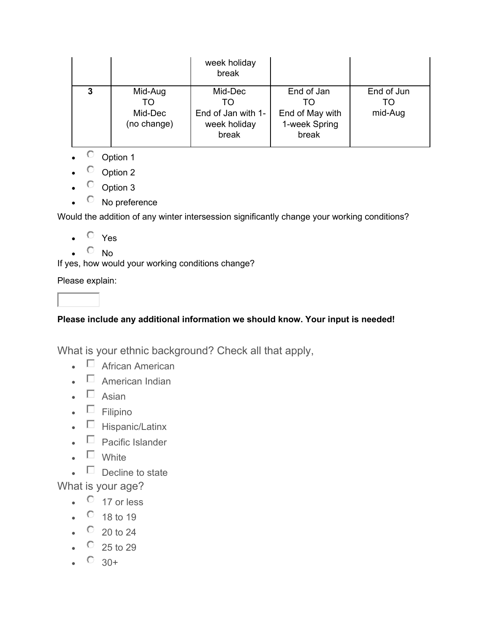|   |                                         | week holiday<br>break                                        |                                                         |                             |
|---|-----------------------------------------|--------------------------------------------------------------|---------------------------------------------------------|-----------------------------|
| 3 | Mid-Aug<br>TΟ<br>Mid-Dec<br>(no change) | Mid-Dec<br>TΟ<br>End of Jan with 1-<br>week holiday<br>break | End of Jan<br>End of May with<br>1-week Spring<br>break | End of Jun<br>TΟ<br>mid-Aug |

- $\circ$  Option 1
- $\circ$  Option 2
- $\circ$  Option 3
- C No preference

Would the addition of any winter intersession significantly change your working conditions?

- $\bullet$   $\circ$   $\circ$   $\circ$
- $\bullet$   $\circ$  No

If yes, how would your working conditions change?

Please explain:

#### **Please include any additional information we should know. Your input is needed!**

What is your ethnic background? Check all that apply,

- $\Box$  African American
- $\Box$  American Indian
- $\square$  Asian
- $\blacksquare$  Filipino
- $\bullet$   $\Box$  Hispanic/Latinx
- $\blacksquare$  Pacific Islander
- $\blacksquare$  White
- $\blacksquare$  Decline to state

What is your age?

- $\bullet$  17 or less
- $\circ$  18 to 19
- $\degree$  20 to 24
- $\degree$  25 to 29
- $\degree$  30+